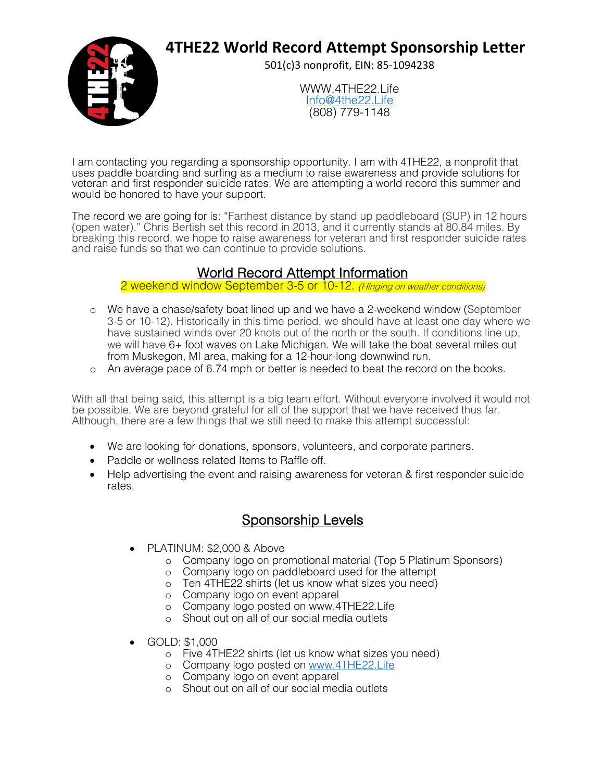## **4THE22 World Record Attempt Sponsorship Letter**



501(c)3 nonprofit, EIN: 85-1094238

WWW 4THF22 Life Info@4the22.Life (808) 779-1148

I am contacting you regarding a sponsorship opportunity. I am with 4THE22, a nonprofit that uses paddle boarding and surfing as a medium to raise awareness and provide solutions for veteran and first responder suicide rates. We are attempting a world record this summer and would be honored to have your support.

The record we are going for is: "Farthest distance by stand up paddleboard (SUP) in 12 hours (open water)." Chris Bertish set this record in 2013, and it currently stands at 80.84 miles. By breaking this record, we hope to raise awareness for veteran and first responder suicide rates and raise funds so that we can continue to provide solutions.

## World Record Attempt Information

2 weekend window September 3-5 or 10-12. (Hinging on weather conditions)

- o We have a chase/safety boat lined up and we have a 2-weekend window (September 3-5 or 10-12). Historically in this time period, we should have at least one day where we have sustained winds over 20 knots out of the north or the south. If conditions line up, we will have 6+ foot waves on Lake Michigan. We will take the boat several miles out from Muskegon, MI area, making for a 12-hour-long downwind run.
- o An average pace of 6.74 mph or better is needed to beat the record on the books.

With all that being said, this attempt is a big team effort. Without everyone involved it would not be possible. We are beyond grateful for all of the support that we have received thus far. Although, there are a few things that we still need to make this attempt successful:

- We are looking for donations, sponsors, volunteers, and corporate partners.
- Paddle or wellness related Items to Raffle off.
- Help advertising the event and raising awareness for veteran & first responder suicide rates.

## Sponsorship Levels

- PLATINUM: \$2,000 & Above
	- o Company logo on promotional material (Top 5 Platinum Sponsors)
	- o Company logo on paddleboard used for the attempt
	- o Ten 4THE22 shirts (let us know what sizes you need)
	- o Company logo on event apparel
	- o Company logo posted on www.4THE22.Life
	- o Shout out on all of our social media outlets
- GOLD: \$1,000
	- o Five 4THE22 shirts (let us know what sizes you need)
	- o Company logo posted on www.4THE22.Life
	- o Company logo on event apparel
	- o Shout out on all of our social media outlets